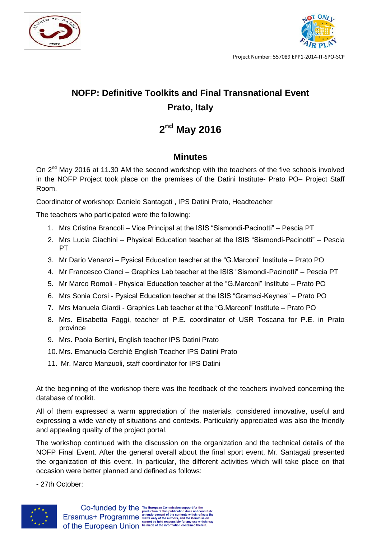



Project Number: 557089 EPP1-2014-IT-SPO-SCP

## **NOFP: Definitive Toolkits and Final Transnational Event Prato, Italy**

## **2 nd May 2016**

## **Minutes**

On 2<sup>nd</sup> May 2016 at 11.30 AM the second workshop with the teachers of the five schools involved in the NOFP Project took place on the premises of the Datini Institute- Prato PO– Project Staff Room.

Coordinator of workshop: Daniele Santagati , IPS Datini Prato, Headteacher

The teachers who participated were the following:

- 1. Mrs Cristina Brancoli Vice Principal at the ISIS "Sismondi-Pacinotti" Pescia PT
- 2. Mrs Lucia Giachini Physical Education teacher at the ISIS "Sismondi-Pacinotti" Pescia PT
- 3. Mr Dario Venanzi Pysical Education teacher at the "G.Marconi" Institute Prato PO
- 4. Mr Francesco Cianci Graphics Lab teacher at the ISIS "Sismondi-Pacinotti" Pescia PT
- 5. Mr Marco Romoli Physical Education teacher at the "G.Marconi" Institute Prato PO
- 6. Mrs Sonia Corsi Pysical Education teacher at the ISIS "Gramsci-Keynes" Prato PO
- 7. Mrs Manuela Giardi Graphics Lab teacher at the "G.Marconi" Institute Prato PO
- 8. Mrs. Elisabetta Faggi, teacher of P.E. coordinator of USR Toscana for P.E. in Prato province
- 9. Mrs. Paola Bertini, English teacher IPS Datini Prato
- 10. Mrs. Emanuela Cerchiè English Teacher IPS Datini Prato
- 11. Mr. Marco Manzuoli, staff coordinator for IPS Datini

At the beginning of the workshop there was the feedback of the teachers involved concerning the database of toolkit.

All of them expressed a warm appreciation of the materials, considered innovative, useful and expressing a wide variety of situations and contexts. Particularly appreciated was also the friendly and appealing quality of the project portal.

The workshop continued with the discussion on the organization and the technical details of the NOFP Final Event. After the general overall about the final sport event, Mr. Santagati presented the organization of this event. In particular, the different activities which will take place on that occasion were better planned and defined as follows:

- 27th October: